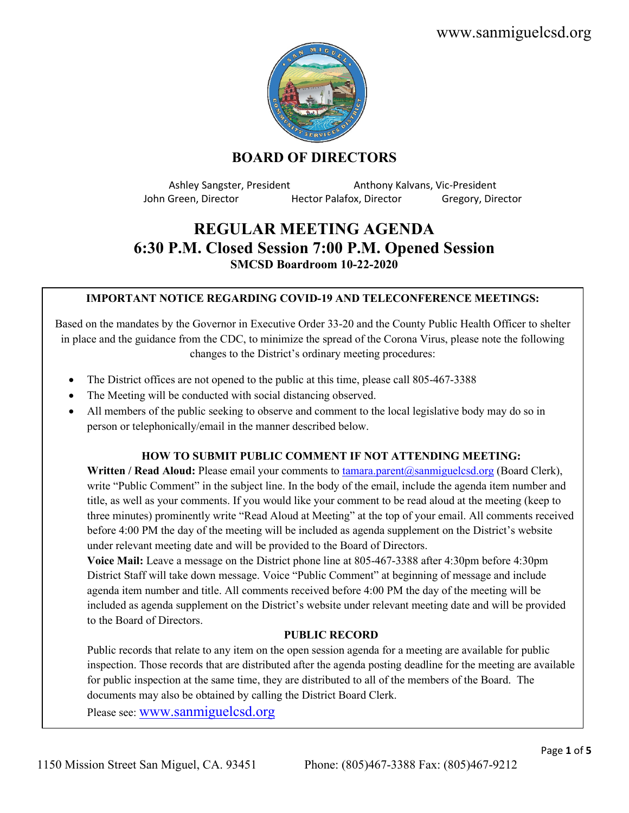www.sanmiguelcsd.org



## **BOARD OF DIRECTORS**

Ashley Sangster, President Anthony Kalvans, Vic-President John Green, Director **Hector Palafox, Director** Gregory, Director

# **REGULAR MEETING AGENDA 6:30 P.M. Closed Session 7:00 P.M. Opened Session SMCSD Boardroom 10-22-2020**

## **IMPORTANT NOTICE REGARDING COVID-19 AND TELECONFERENCE MEETINGS:**

Based on the mandates by the Governor in Executive Order 33-20 and the County Public Health Officer to shelter in place and the guidance from the CDC, to minimize the spread of the Corona Virus, please note the following changes to the District's ordinary meeting procedures:

- The District offices are not opened to the public at this time, please call 805-467-3388
- The Meeting will be conducted with social distancing observed.
- All members of the public seeking to observe and comment to the local legislative body may do so in person or telephonically/email in the manner described below.

#### **HOW TO SUBMIT PUBLIC COMMENT IF NOT ATTENDING MEETING:**

**Written / Read Aloud:** Please email your comments to [tamara.parent@sanmiguelcsd.org](mailto:tamara.parent@sanmiguelcsd.org) (Board Clerk), write "Public Comment" in the subject line. In the body of the email, include the agenda item number and title, as well as your comments. If you would like your comment to be read aloud at the meeting (keep to three minutes) prominently write "Read Aloud at Meeting" at the top of your email. All comments received before 4:00 PM the day of the meeting will be included as agenda supplement on the District's website under relevant meeting date and will be provided to the Board of Directors.

**Voice Mail:** Leave a message on the District phone line at 805-467-3388 after 4:30pm before 4:30pm District Staff will take down message. Voice "Public Comment" at beginning of message and include agenda item number and title. All comments received before 4:00 PM the day of the meeting will be included as agenda supplement on the District's website under relevant meeting date and will be provided to the Board of Directors.

## **PUBLIC RECORD**

Public records that relate to any item on the open session agenda for a meeting are available for public inspection. Those records that are distributed after the agenda posting deadline for the meeting are available for public inspection at the same time, they are distributed to all of the members of the Board. The documents may also be obtained by calling the District Board Clerk.

Please see: [www.sanmiguelcsd.org](http://www.sanmiguelcsd.org/)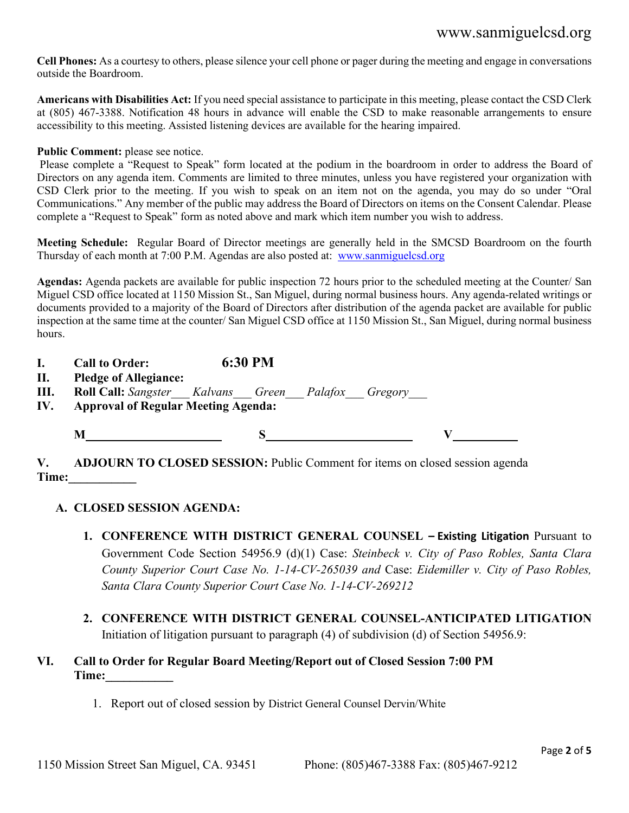# www.sanmiguelcsd.org

**Cell Phones:** As a courtesy to others, please silence your cell phone or pager during the meeting and engage in conversations outside the Boardroom.

**Americans with Disabilities Act:** If you need special assistance to participate in this meeting, please contact the CSD Clerk at (805) 467-3388. Notification 48 hours in advance will enable the CSD to make reasonable arrangements to ensure accessibility to this meeting. Assisted listening devices are available for the hearing impaired.

#### Public Comment: please see notice.

Please complete a "Request to Speak" form located at the podium in the boardroom in order to address the Board of Directors on any agenda item. Comments are limited to three minutes, unless you have registered your organization with CSD Clerk prior to the meeting. If you wish to speak on an item not on the agenda, you may do so under "Oral Communications." Any member of the public may address the Board of Directors on items on the Consent Calendar. Please complete a "Request to Speak" form as noted above and mark which item number you wish to address.

**Meeting Schedule:** Regular Board of Director meetings are generally held in the SMCSD Boardroom on the fourth Thursday of each month at 7:00 P.M. Agendas are also posted at: [www.sanmiguelcsd.org](http://www.sanmiguelcsd.org/)

**Agendas:** Agenda packets are available for public inspection 72 hours prior to the scheduled meeting at the Counter/ San Miguel CSD office located at 1150 Mission St., San Miguel, during normal business hours. Any agenda-related writings or documents provided to a majority of the Board of Directors after distribution of the agenda packet are available for public inspection at the same time at the counter/ San Miguel CSD office at 1150 Mission St., San Miguel, during normal business hours.

| <b>Call to Order:</b> | 6:30 PM |  |
|-----------------------|---------|--|
|                       |         |  |

**II. Pledge of Allegiance:**

**III. Roll Call:** *Sangster\_\_\_ Kalvans\_\_\_ Green\_\_\_ Palafox\_\_\_ Gregory\_\_\_*

**IV. Approval of Regular Meeting Agenda:**

**M S V**

**V. ADJOURN TO CLOSED SESSION:** Public Comment for items on closed session agenda **Time:** \_\_\_\_\_\_\_

## **A. CLOSED SESSION AGENDA:**

- **1. CONFERENCE WITH DISTRICT GENERAL COUNSEL – Existing Litigation** Pursuant to Government Code Section 54956.9 (d)(1) Case: *Steinbeck v. City of Paso Robles, Santa Clara County Superior Court Case No. 1-14-CV-265039 and* Case: *Eidemiller v. City of Paso Robles, Santa Clara County Superior Court Case No. 1-14-CV-269212*
- **2. CONFERENCE WITH DISTRICT GENERAL COUNSEL-ANTICIPATED LITIGATION**  Initiation of litigation pursuant to paragraph (4) of subdivision (d) [of Section 54956.9:](https://1.next.westlaw.com/Link/Document/FullText?findType=L&pubNum=1000211&cite=CAGTS54956.9&originatingDoc=NBA587F500DE511E28A628CD7CECCD897&refType=SP&originationContext=document&transitionType=DocumentItem&contextData=(sc.Category)#co_pp_5ba1000067d06)

## **VI. Call to Order for Regular Board Meeting/Report out of Closed Session 7:00 PM Time:**

1. Report out of closed session by District General Counsel Dervin/White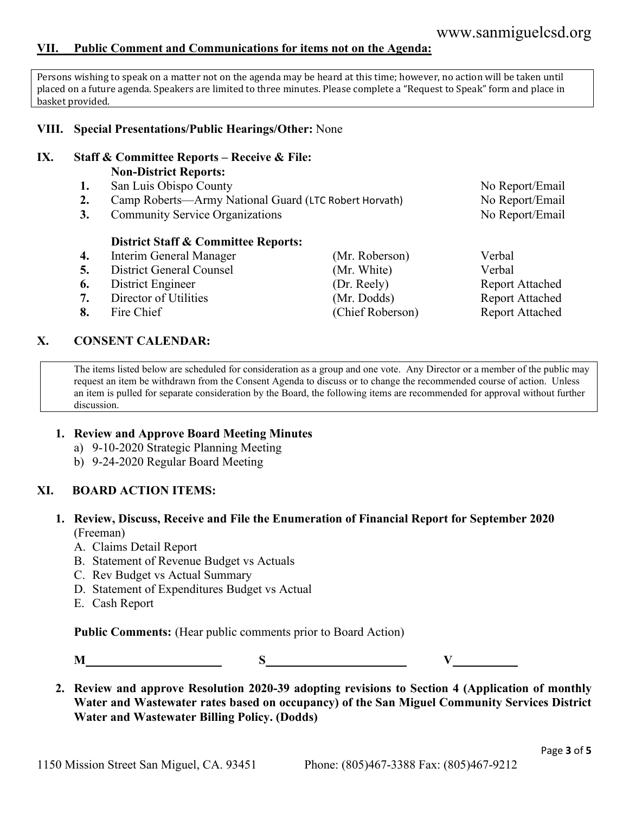#### **VII. Public Comment and Communications for items not on the Agenda:**

Persons wishing to speak on a matter not on the agenda may be heard at this time; however, no action will be taken until placed on a future agenda. Speakers are limited to three minutes. Please complete a "Request to Speak" form and place in basket provided.

#### **VIII. Special Presentations/Public Hearings/Other:** None

#### **IX. Staff & Committee Reports – Receive & File: Non-District Reports:**

- 1. San Luis Obispo County **1. San Luis Obispo County** No Report/Email
- **2.** Camp Roberts—Army National Guard (LTC Robert Horvath) No Report/Email
- **3.** Community Service Organizations No Report/Email

#### **District Staff & Committee Reports:**

- **4.** Interim General Manager (Mr. Roberson) Verbal
- **5.** District General Counsel (Mr. White) Verbal
- **6.** District Engineer (Dr. Reely) Report Attached
- **7.** Director of Utilities (Mr. Dodds) Report Attached
- 

#### **X. CONSENT CALENDAR:**

The items listed below are scheduled for consideration as a group and one vote. Any Director or a member of the public may request an item be withdrawn from the Consent Agenda to discuss or to change the recommended course of action. Unless an item is pulled for separate consideration by the Board, the following items are recommended for approval without further discussion.

#### **1. Review and Approve Board Meeting Minutes**

- a) 9-10-2020 Strategic Planning Meeting
- b) 9-24-2020 Regular Board Meeting

#### **XI. BOARD ACTION ITEMS:**

#### **1. Review, Discuss, Receive and File the Enumeration of Financial Report for September 2020** (Freeman)

- A. Claims Detail Report
- B. Statement of Revenue Budget vs Actuals
- C. Rev Budget vs Actual Summary
- D. Statement of Expenditures Budget vs Actual
- E. Cash Report

**Public Comments:** (Hear public comments prior to Board Action)

**M S V**

**2. Review and approve Resolution 2020-39 adopting revisions to Section 4 (Application of monthly Water and Wastewater rates based on occupancy) of the San Miguel Community Services District Water and Wastewater Billing Policy. (Dodds)**

- 
- **8.** Fire Chief (Chief Roberson) Report Attached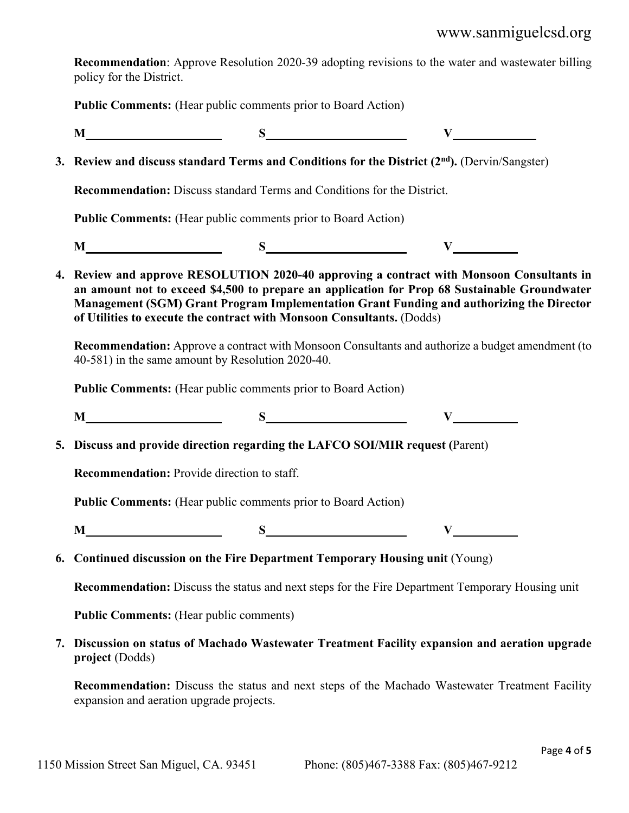## www.sanmiguelcsd.org

**Recommendation**: Approve Resolution 2020-39 adopting revisions to the water and wastewater billing policy for the District.

**Public Comments:** (Hear public comments prior to Board Action)

**M S V \_\_\_\_\_\_\_\_\_**

**3.** Review and discuss standard Terms and Conditions for the District (2<sup>nd</sup>). (Dervin/Sangster)

**Recommendation:** Discuss standard Terms and Conditions for the District.

**Public Comments:** (Hear public comments prior to Board Action)

**M S V**

**4. Review and approve RESOLUTION 2020-40 approving a contract with Monsoon Consultants in an amount not to exceed \$4,500 to prepare an application for Prop 68 Sustainable Groundwater Management (SGM) Grant Program Implementation Grant Funding and authorizing the Director of Utilities to execute the contract with Monsoon Consultants.** (Dodds)

**Recommendation:** Approve a contract with Monsoon Consultants and authorize a budget amendment (to 40-581) in the same amount by Resolution 2020-40.

**Public Comments:** (Hear public comments prior to Board Action)

**M S V**

**5. Discuss and provide direction regarding the LAFCO SOI/MIR request (**Parent)

**Recommendation:** Provide direction to staff.

**Public Comments:** (Hear public comments prior to Board Action)

**M S V**

**6. Continued discussion on the Fire Department Temporary Housing unit** (Young)

**Recommendation:** Discuss the status and next steps for the Fire Department Temporary Housing unit

**Public Comments:** (Hear public comments)

**7. Discussion on status of Machado Wastewater Treatment Facility expansion and aeration upgrade project** (Dodds)

**Recommendation:** Discuss the status and next steps of the Machado Wastewater Treatment Facility expansion and aeration upgrade projects.